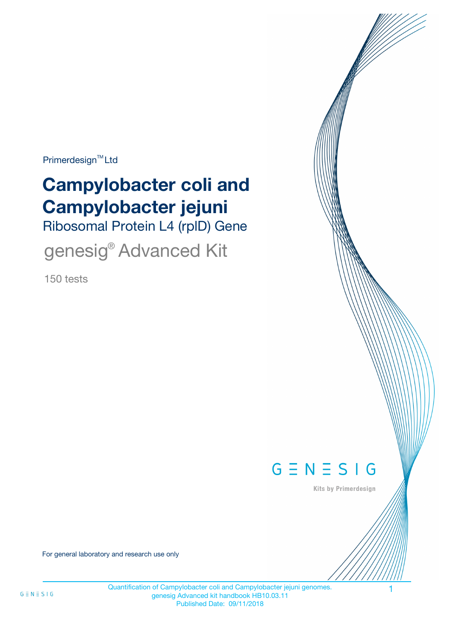Primerdesign<sup>™</sup>Ltd

# **Campylobacter coli and Campylobacter jejuni**

Ribosomal Protein L4 (rplD) Gene

genesig® Advanced Kit

150 tests



Kits by Primerdesign

For general laboratory and research use only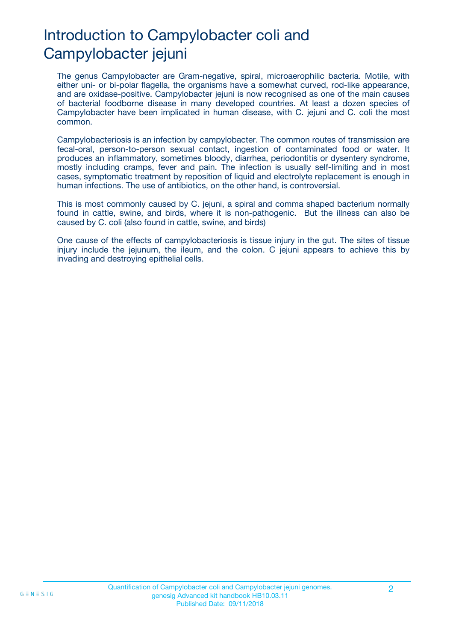# Introduction to Campylobacter coli and Campylobacter jejuni

The genus Campylobacter are Gram-negative, spiral, microaerophilic bacteria. Motile, with either uni- or bi-polar flagella, the organisms have a somewhat curved, rod-like appearance, and are oxidase-positive. Campylobacter jejuni is now recognised as one of the main causes of bacterial foodborne disease in many developed countries. At least a dozen species of Campylobacter have been implicated in human disease, with C. jejuni and C. coli the most common.

Campylobacteriosis is an infection by campylobacter. The common routes of transmission are fecal-oral, person-to-person sexual contact, ingestion of contaminated food or water. It produces an inflammatory, sometimes bloody, diarrhea, periodontitis or dysentery syndrome, mostly including cramps, fever and pain. The infection is usually self-limiting and in most cases, symptomatic treatment by reposition of liquid and electrolyte replacement is enough in human infections. The use of antibiotics, on the other hand, is controversial.

This is most commonly caused by C. jejuni, a spiral and comma shaped bacterium normally found in cattle, swine, and birds, where it is non-pathogenic. But the illness can also be caused by C. coli (also found in cattle, swine, and birds)

One cause of the effects of campylobacteriosis is tissue injury in the gut. The sites of tissue injury include the jejunum, the ileum, and the colon. C jejuni appears to achieve this by invading and destroying epithelial cells.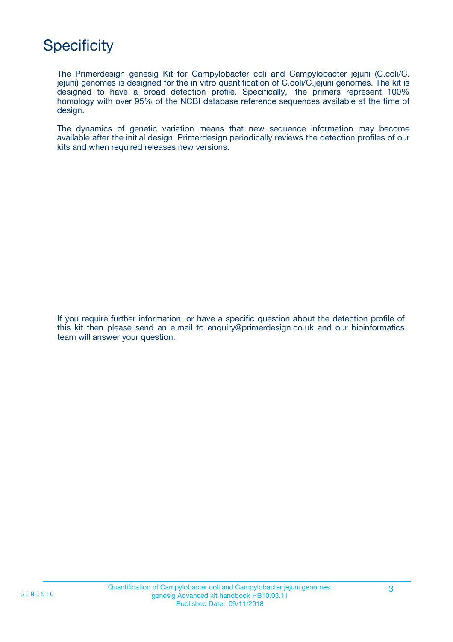# **Specificity**

The Primerdesign genesig Kit for Campylobacter coli and Campylobacter jejuni (C.coli/C. jejuni) genomes is designed for the in vitro quantification of C.coli/C.jejuni genomes. The kit is designed to have a broad detection profile. Specifically, the primers represent 100% homology with over 95% of the NCBI database reference sequences available at the time of design.

The dynamics of genetic variation means that new sequence information may become available after the initial design. Primerdesign periodically reviews the detection profiles of our kits and when required releases new versions.

If you require further information, or have a specific question about the detection profile of this kit then please send an e.mail to enquiry@primerdesign.co.uk and our bioinformatics team will answer your question.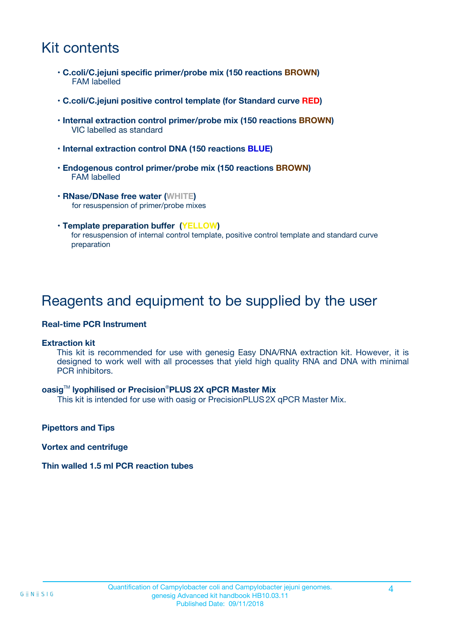## Kit contents

- **C.coli/C.jejuni specific primer/probe mix (150 reactions BROWN)** FAM labelled
- **C.coli/C.jejuni positive control template (for Standard curve RED)**
- **Internal extraction control primer/probe mix (150 reactions BROWN)** VIC labelled as standard
- **Internal extraction control DNA (150 reactions BLUE)**
- **Endogenous control primer/probe mix (150 reactions BROWN)** FAM labelled
- **RNase/DNase free water (WHITE)** for resuspension of primer/probe mixes
- **Template preparation buffer (YELLOW)** for resuspension of internal control template, positive control template and standard curve preparation

### Reagents and equipment to be supplied by the user

#### **Real-time PCR Instrument**

#### **Extraction kit**

This kit is recommended for use with genesig Easy DNA/RNA extraction kit. However, it is designed to work well with all processes that yield high quality RNA and DNA with minimal PCR inhibitors.

#### **oasig**TM **lyophilised or Precision**®**PLUS 2X qPCR Master Mix**

This kit is intended for use with oasig or PrecisionPLUS2X qPCR Master Mix.

**Pipettors and Tips**

**Vortex and centrifuge**

#### **Thin walled 1.5 ml PCR reaction tubes**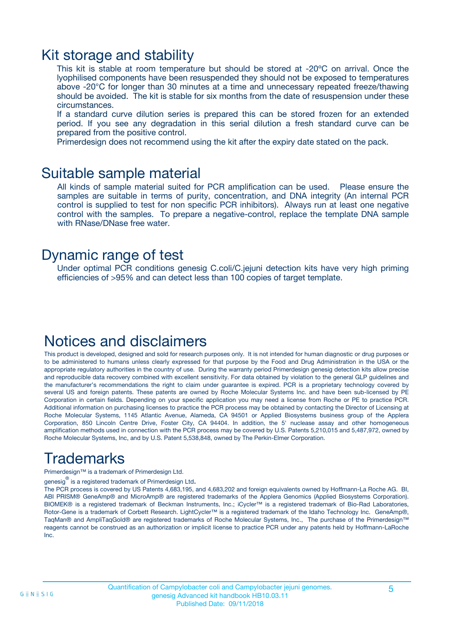### Kit storage and stability

This kit is stable at room temperature but should be stored at -20ºC on arrival. Once the lyophilised components have been resuspended they should not be exposed to temperatures above -20°C for longer than 30 minutes at a time and unnecessary repeated freeze/thawing should be avoided. The kit is stable for six months from the date of resuspension under these circumstances.

If a standard curve dilution series is prepared this can be stored frozen for an extended period. If you see any degradation in this serial dilution a fresh standard curve can be prepared from the positive control.

Primerdesign does not recommend using the kit after the expiry date stated on the pack.

### Suitable sample material

All kinds of sample material suited for PCR amplification can be used. Please ensure the samples are suitable in terms of purity, concentration, and DNA integrity (An internal PCR control is supplied to test for non specific PCR inhibitors). Always run at least one negative control with the samples. To prepare a negative-control, replace the template DNA sample with RNase/DNase free water.

### Dynamic range of test

Under optimal PCR conditions genesig C.coli/C.jejuni detection kits have very high priming efficiencies of >95% and can detect less than 100 copies of target template.

### Notices and disclaimers

This product is developed, designed and sold for research purposes only. It is not intended for human diagnostic or drug purposes or to be administered to humans unless clearly expressed for that purpose by the Food and Drug Administration in the USA or the appropriate regulatory authorities in the country of use. During the warranty period Primerdesign genesig detection kits allow precise and reproducible data recovery combined with excellent sensitivity. For data obtained by violation to the general GLP guidelines and the manufacturer's recommendations the right to claim under guarantee is expired. PCR is a proprietary technology covered by several US and foreign patents. These patents are owned by Roche Molecular Systems Inc. and have been sub-licensed by PE Corporation in certain fields. Depending on your specific application you may need a license from Roche or PE to practice PCR. Additional information on purchasing licenses to practice the PCR process may be obtained by contacting the Director of Licensing at Roche Molecular Systems, 1145 Atlantic Avenue, Alameda, CA 94501 or Applied Biosystems business group of the Applera Corporation, 850 Lincoln Centre Drive, Foster City, CA 94404. In addition, the 5' nuclease assay and other homogeneous amplification methods used in connection with the PCR process may be covered by U.S. Patents 5,210,015 and 5,487,972, owned by Roche Molecular Systems, Inc, and by U.S. Patent 5,538,848, owned by The Perkin-Elmer Corporation.

# Trademarks

Primerdesign™ is a trademark of Primerdesign Ltd.

genesig $^\circledR$  is a registered trademark of Primerdesign Ltd.

The PCR process is covered by US Patents 4,683,195, and 4,683,202 and foreign equivalents owned by Hoffmann-La Roche AG. BI, ABI PRISM® GeneAmp® and MicroAmp® are registered trademarks of the Applera Genomics (Applied Biosystems Corporation). BIOMEK® is a registered trademark of Beckman Instruments, Inc.; iCycler™ is a registered trademark of Bio-Rad Laboratories, Rotor-Gene is a trademark of Corbett Research. LightCycler™ is a registered trademark of the Idaho Technology Inc. GeneAmp®, TaqMan® and AmpliTaqGold® are registered trademarks of Roche Molecular Systems, Inc., The purchase of the Primerdesign™ reagents cannot be construed as an authorization or implicit license to practice PCR under any patents held by Hoffmann-LaRoche Inc.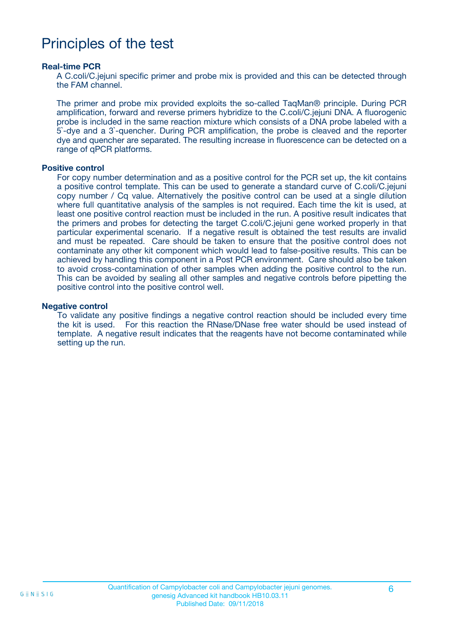### Principles of the test

#### **Real-time PCR**

A C.coli/C.jejuni specific primer and probe mix is provided and this can be detected through the FAM channel.

The primer and probe mix provided exploits the so-called TaqMan® principle. During PCR amplification, forward and reverse primers hybridize to the C.coli/C.jejuni DNA. A fluorogenic probe is included in the same reaction mixture which consists of a DNA probe labeled with a 5`-dye and a 3`-quencher. During PCR amplification, the probe is cleaved and the reporter dye and quencher are separated. The resulting increase in fluorescence can be detected on a range of qPCR platforms.

#### **Positive control**

For copy number determination and as a positive control for the PCR set up, the kit contains a positive control template. This can be used to generate a standard curve of C.coli/C.jejuni copy number / Cq value. Alternatively the positive control can be used at a single dilution where full quantitative analysis of the samples is not required. Each time the kit is used, at least one positive control reaction must be included in the run. A positive result indicates that the primers and probes for detecting the target C.coli/C.jejuni gene worked properly in that particular experimental scenario. If a negative result is obtained the test results are invalid and must be repeated. Care should be taken to ensure that the positive control does not contaminate any other kit component which would lead to false-positive results. This can be achieved by handling this component in a Post PCR environment. Care should also be taken to avoid cross-contamination of other samples when adding the positive control to the run. This can be avoided by sealing all other samples and negative controls before pipetting the positive control into the positive control well.

#### **Negative control**

To validate any positive findings a negative control reaction should be included every time the kit is used. For this reaction the RNase/DNase free water should be used instead of template. A negative result indicates that the reagents have not become contaminated while setting up the run.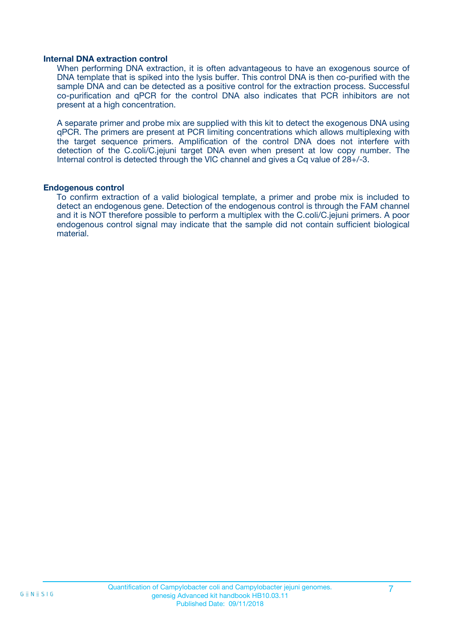#### **Internal DNA extraction control**

When performing DNA extraction, it is often advantageous to have an exogenous source of DNA template that is spiked into the lysis buffer. This control DNA is then co-purified with the sample DNA and can be detected as a positive control for the extraction process. Successful co-purification and qPCR for the control DNA also indicates that PCR inhibitors are not present at a high concentration.

A separate primer and probe mix are supplied with this kit to detect the exogenous DNA using qPCR. The primers are present at PCR limiting concentrations which allows multiplexing with the target sequence primers. Amplification of the control DNA does not interfere with detection of the C.coli/C.jejuni target DNA even when present at low copy number. The Internal control is detected through the VIC channel and gives a Cq value of 28+/-3.

#### **Endogenous control**

To confirm extraction of a valid biological template, a primer and probe mix is included to detect an endogenous gene. Detection of the endogenous control is through the FAM channel and it is NOT therefore possible to perform a multiplex with the C.coli/C.jejuni primers. A poor endogenous control signal may indicate that the sample did not contain sufficient biological material.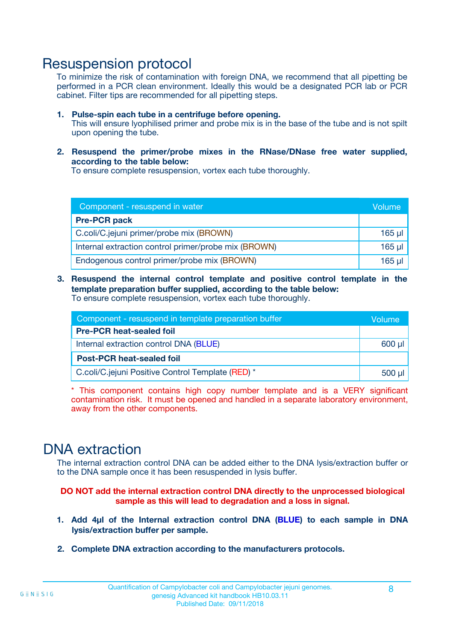### Resuspension protocol

To minimize the risk of contamination with foreign DNA, we recommend that all pipetting be performed in a PCR clean environment. Ideally this would be a designated PCR lab or PCR cabinet. Filter tips are recommended for all pipetting steps.

- **1. Pulse-spin each tube in a centrifuge before opening.** This will ensure lyophilised primer and probe mix is in the base of the tube and is not spilt upon opening the tube.
- **2. Resuspend the primer/probe mixes in the RNase/DNase free water supplied, according to the table below:**

To ensure complete resuspension, vortex each tube thoroughly.

| Component - resuspend in water                       |         |  |
|------------------------------------------------------|---------|--|
| <b>Pre-PCR pack</b>                                  |         |  |
| C.coli/C.jejuni primer/probe mix (BROWN)             | $165$ µ |  |
| Internal extraction control primer/probe mix (BROWN) | $165$ µ |  |
| Endogenous control primer/probe mix (BROWN)          | 165 µl  |  |

**3. Resuspend the internal control template and positive control template in the template preparation buffer supplied, according to the table below:** To ensure complete resuspension, vortex each tube thoroughly.

| Component - resuspend in template preparation buffer |          |  |
|------------------------------------------------------|----------|--|
| <b>Pre-PCR heat-sealed foil</b>                      |          |  |
| Internal extraction control DNA (BLUE)               |          |  |
| <b>Post-PCR heat-sealed foil</b>                     |          |  |
| C.coli/C.jejuni Positive Control Template (RED) *    | $500$ µl |  |

\* This component contains high copy number template and is a VERY significant contamination risk. It must be opened and handled in a separate laboratory environment, away from the other components.

### DNA extraction

The internal extraction control DNA can be added either to the DNA lysis/extraction buffer or to the DNA sample once it has been resuspended in lysis buffer.

**DO NOT add the internal extraction control DNA directly to the unprocessed biological sample as this will lead to degradation and a loss in signal.**

- **1. Add 4µl of the Internal extraction control DNA (BLUE) to each sample in DNA lysis/extraction buffer per sample.**
- **2. Complete DNA extraction according to the manufacturers protocols.**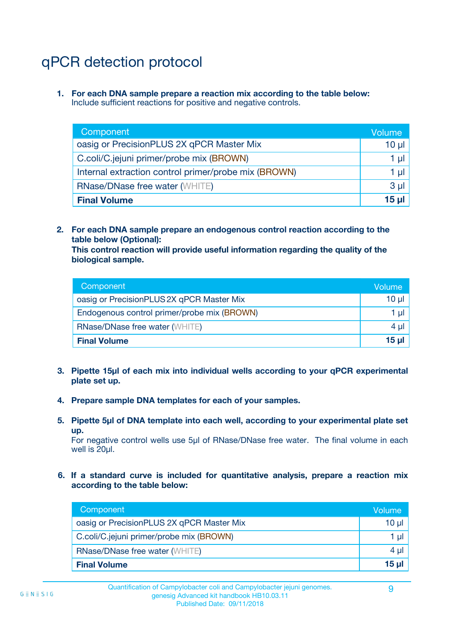# qPCR detection protocol

**1. For each DNA sample prepare a reaction mix according to the table below:** Include sufficient reactions for positive and negative controls.

| Component                                            | Volume   |
|------------------------------------------------------|----------|
| oasig or PrecisionPLUS 2X qPCR Master Mix            | 10 $\mu$ |
| C.coli/C.jejuni primer/probe mix (BROWN)             | 1 µl     |
| Internal extraction control primer/probe mix (BROWN) | 1 µl     |
| <b>RNase/DNase free water (WHITE)</b>                | $3 \mu$  |
| <b>Final Volume</b>                                  | 15 µl    |

**2. For each DNA sample prepare an endogenous control reaction according to the table below (Optional):**

**This control reaction will provide useful information regarding the quality of the biological sample.**

| Component                                   | Volume   |
|---------------------------------------------|----------|
| oasig or PrecisionPLUS 2X qPCR Master Mix   | $10 \mu$ |
| Endogenous control primer/probe mix (BROWN) | 1 µI     |
| <b>RNase/DNase free water (WHITE)</b>       | $4 \mu$  |
| <b>Final Volume</b>                         | 15 µl    |

- **3. Pipette 15µl of each mix into individual wells according to your qPCR experimental plate set up.**
- **4. Prepare sample DNA templates for each of your samples.**
- **5. Pipette 5µl of DNA template into each well, according to your experimental plate set up.**

For negative control wells use 5µl of RNase/DNase free water. The final volume in each well is 20ul.

**6. If a standard curve is included for quantitative analysis, prepare a reaction mix according to the table below:**

| Component                                 | Volume   |
|-------------------------------------------|----------|
| oasig or PrecisionPLUS 2X qPCR Master Mix | $10 \mu$ |
| C.coli/C.jejuni primer/probe mix (BROWN)  |          |
| <b>RNase/DNase free water (WHITE)</b>     | 4 µl     |
| <b>Final Volume</b>                       | 15 µl    |

 $G \equiv N \equiv S \mid G$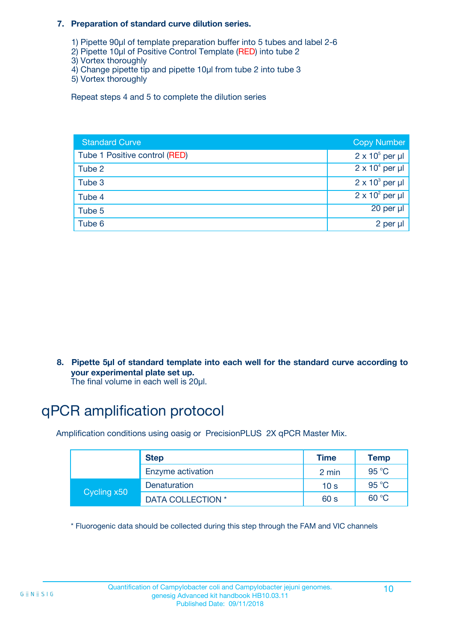#### **7. Preparation of standard curve dilution series.**

- 1) Pipette 90µl of template preparation buffer into 5 tubes and label 2-6
- 2) Pipette 10µl of Positive Control Template (RED) into tube 2
- 3) Vortex thoroughly
- 4) Change pipette tip and pipette 10µl from tube 2 into tube 3
- 5) Vortex thoroughly

Repeat steps 4 and 5 to complete the dilution series

| <b>Standard Curve</b>         | <b>Copy Number</b>     |
|-------------------------------|------------------------|
| Tube 1 Positive control (RED) | $2 \times 10^5$ per µl |
| Tube 2                        | $2 \times 10^4$ per µl |
| Tube 3                        | $2 \times 10^3$ per µl |
| Tube 4                        | $2 \times 10^2$ per µl |
| Tube 5                        | $20$ per $\mu$         |
| Tube 6                        | 2 per µl               |

**8. Pipette 5µl of standard template into each well for the standard curve according to your experimental plate set up.**

#### The final volume in each well is 20µl.

# qPCR amplification protocol

Amplification conditions using oasig or PrecisionPLUS 2X qPCR Master Mix.

|             | <b>Step</b>       | <b>Time</b>     | Temp    |
|-------------|-------------------|-----------------|---------|
|             | Enzyme activation | 2 min           | 95 °C   |
| Cycling x50 | Denaturation      | 10 <sub>s</sub> | 95 $°C$ |
|             | DATA COLLECTION * | 60 s            | 60 °C   |

\* Fluorogenic data should be collected during this step through the FAM and VIC channels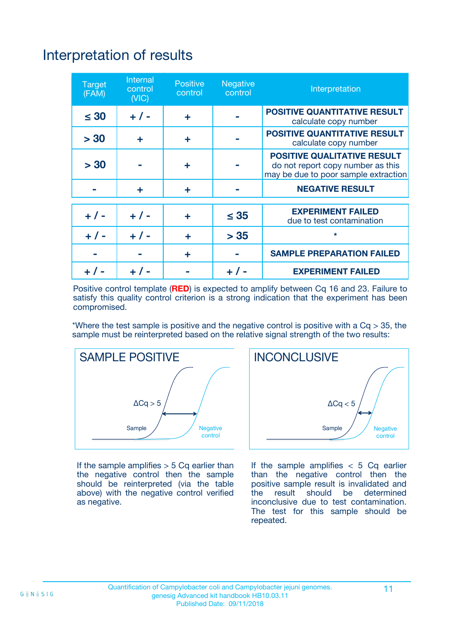# Interpretation of results

| <b>Target</b><br>(FAM) | Internal<br>control<br>(NIC) | <b>Positive</b><br>control | Negative<br>control | Interpretation                                                                                                  |
|------------------------|------------------------------|----------------------------|---------------------|-----------------------------------------------------------------------------------------------------------------|
| $\leq 30$              | $+ 1 -$                      | ÷                          |                     | <b>POSITIVE QUANTITATIVE RESULT</b><br>calculate copy number                                                    |
| > 30                   | ÷                            | ÷                          |                     | <b>POSITIVE QUANTITATIVE RESULT</b><br>calculate copy number                                                    |
| > 30                   |                              | ÷                          |                     | <b>POSITIVE QUALITATIVE RESULT</b><br>do not report copy number as this<br>may be due to poor sample extraction |
|                        | ÷                            | ÷                          |                     | <b>NEGATIVE RESULT</b>                                                                                          |
|                        |                              |                            |                     | <b>EXPERIMENT FAILED</b>                                                                                        |
| $+ 1 -$                | $+ 1 -$                      | ÷                          | $\leq 35$           | due to test contamination                                                                                       |
| $+ 1 -$                | $+ 1 -$                      | ÷                          | > 35                | $\star$                                                                                                         |
|                        |                              | ÷                          |                     | <b>SAMPLE PREPARATION FAILED</b>                                                                                |
|                        |                              |                            |                     | <b>EXPERIMENT FAILED</b>                                                                                        |

Positive control template (**RED**) is expected to amplify between Cq 16 and 23. Failure to satisfy this quality control criterion is a strong indication that the experiment has been compromised.

\*Where the test sample is positive and the negative control is positive with a  $Ca > 35$ , the sample must be reinterpreted based on the relative signal strength of the two results:



If the sample amplifies  $> 5$  Cq earlier than the negative control then the sample should be reinterpreted (via the table above) with the negative control verified as negative.



If the sample amplifies  $< 5$  Cq earlier than the negative control then the positive sample result is invalidated and<br>the result should be determined  $the$  result should be inconclusive due to test contamination. The test for this sample should be repeated.